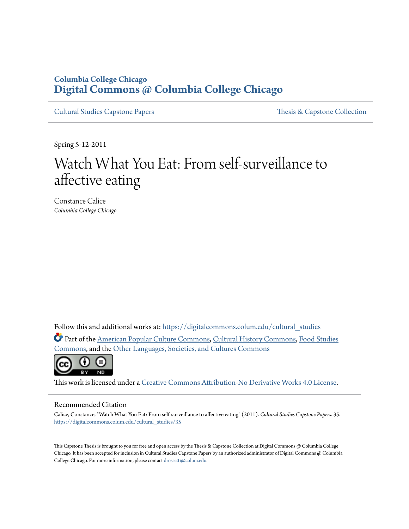## **Columbia College Chicago [Digital Commons @ Columbia College Chicago](https://digitalcommons.colum.edu?utm_source=digitalcommons.colum.edu%2Fcultural_studies%2F35&utm_medium=PDF&utm_campaign=PDFCoverPages)**

[Cultural Studies Capstone Papers](https://digitalcommons.colum.edu/cultural_studies?utm_source=digitalcommons.colum.edu%2Fcultural_studies%2F35&utm_medium=PDF&utm_campaign=PDFCoverPages) [Thesis & Capstone Collection](https://digitalcommons.colum.edu/thesiscoll?utm_source=digitalcommons.colum.edu%2Fcultural_studies%2F35&utm_medium=PDF&utm_campaign=PDFCoverPages)

Spring 5-12-2011

# Watch What You Eat: From self-surveillance to affective eating

Constance Calice *Columbia College Chicago*

Follow this and additional works at: [https://digitalcommons.colum.edu/cultural\\_studies](https://digitalcommons.colum.edu/cultural_studies?utm_source=digitalcommons.colum.edu%2Fcultural_studies%2F35&utm_medium=PDF&utm_campaign=PDFCoverPages) Part of the [American Popular Culture Commons](http://network.bepress.com/hgg/discipline/443?utm_source=digitalcommons.colum.edu%2Fcultural_studies%2F35&utm_medium=PDF&utm_campaign=PDFCoverPages), [Cultural History Commons](http://network.bepress.com/hgg/discipline/496?utm_source=digitalcommons.colum.edu%2Fcultural_studies%2F35&utm_medium=PDF&utm_campaign=PDFCoverPages), [Food Studies](http://network.bepress.com/hgg/discipline/1386?utm_source=digitalcommons.colum.edu%2Fcultural_studies%2F35&utm_medium=PDF&utm_campaign=PDFCoverPages) [Commons,](http://network.bepress.com/hgg/discipline/1386?utm_source=digitalcommons.colum.edu%2Fcultural_studies%2F35&utm_medium=PDF&utm_campaign=PDFCoverPages) and the [Other Languages, Societies, and Cultures Commons](http://network.bepress.com/hgg/discipline/475?utm_source=digitalcommons.colum.edu%2Fcultural_studies%2F35&utm_medium=PDF&utm_campaign=PDFCoverPages)



This work is licensed under a [Creative Commons Attribution-No Derivative Works 4.0 License.](http://creativecommons.org/licenses/by-nd/4.0/)

#### Recommended Citation

Calice, Constance, "Watch What You Eat: From self-surveillance to affective eating" (2011). *Cultural Studies Capstone Papers*. 35. [https://digitalcommons.colum.edu/cultural\\_studies/35](https://digitalcommons.colum.edu/cultural_studies/35?utm_source=digitalcommons.colum.edu%2Fcultural_studies%2F35&utm_medium=PDF&utm_campaign=PDFCoverPages)

This Capstone Thesis is brought to you for free and open access by the Thesis & Capstone Collection at Digital Commons @ Columbia College Chicago. It has been accepted for inclusion in Cultural Studies Capstone Papers by an authorized administrator of Digital Commons @ Columbia College Chicago. For more information, please contact [drossetti@colum.edu](mailto:drossetti@colum.edu).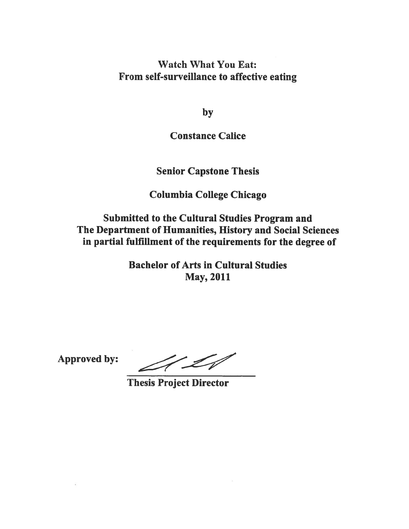**Watch What You Eat:** From self-surveillance to affective eating

by

**Constance Calice** 

## **Senior Capstone Thesis**

**Columbia College Chicago** 

**Submitted to the Cultural Studies Program and** The Department of Humanities, History and Social Sciences in partial fulfillment of the requirements for the degree of

> **Bachelor of Arts in Cultural Studies May, 2011**

**Approved by:** 

LV

**Thesis Project Director**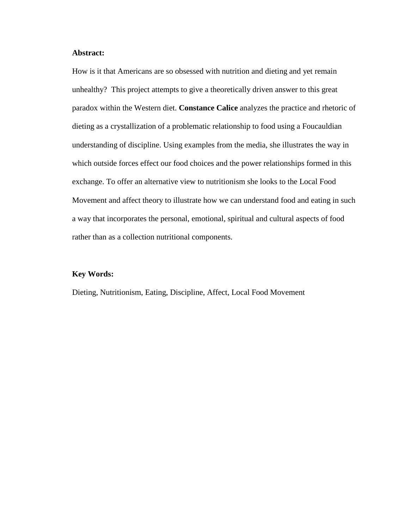### **Abstract:**

How is it that Americans are so obsessed with nutrition and dieting and yet remain unhealthy? This project attempts to give a theoretically driven answer to this great paradox within the Western diet. **Constance Calice** analyzes the practice and rhetoric of dieting as a crystallization of a problematic relationship to food using a Foucauldian understanding of discipline. Using examples from the media, she illustrates the way in which outside forces effect our food choices and the power relationships formed in this exchange. To offer an alternative view to nutritionism she looks to the Local Food Movement and affect theory to illustrate how we can understand food and eating in such a way that incorporates the personal, emotional, spiritual and cultural aspects of food rather than as a collection nutritional components.

#### **Key Words:**

Dieting, Nutritionism, Eating, Discipline, Affect, Local Food Movement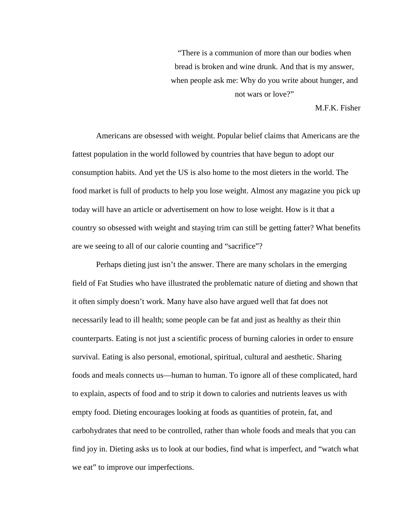"There is a communion of more than our bodies when bread is broken and wine drunk. And that is my answer, when people ask me: Why do you write about hunger, and not wars or love?"

M.F.K. Fisher

Americans are obsessed with weight. Popular belief claims that Americans are the fattest population in the world followed by countries that have begun to adopt our consumption habits. And yet the US is also home to the most dieters in the world. The food market is full of products to help you lose weight. Almost any magazine you pick up today will have an article or advertisement on how to lose weight. How is it that a country so obsessed with weight and staying trim can still be getting fatter? What benefits are we seeing to all of our calorie counting and "sacrifice"?

Perhaps dieting just isn't the answer. There are many scholars in the emerging field of Fat Studies who have illustrated the problematic nature of dieting and shown that it often simply doesn't work. Many have also have argued well that fat does not necessarily lead to ill health; some people can be fat and just as healthy as their thin counterparts. Eating is not just a scientific process of burning calories in order to ensure survival. Eating is also personal, emotional, spiritual, cultural and aesthetic. Sharing foods and meals connects us—human to human. To ignore all of these complicated, hard to explain, aspects of food and to strip it down to calories and nutrients leaves us with empty food. Dieting encourages looking at foods as quantities of protein, fat, and carbohydrates that need to be controlled, rather than whole foods and meals that you can find joy in. Dieting asks us to look at our bodies, find what is imperfect, and "watch what we eat" to improve our imperfections.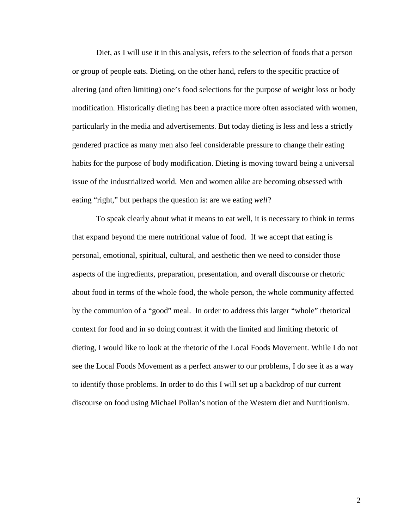Diet, as I will use it in this analysis, refers to the selection of foods that a person or group of people eats. Dieting, on the other hand, refers to the specific practice of altering (and often limiting) one's food selections for the purpose of weight loss or body modification. Historically dieting has been a practice more often associated with women, particularly in the media and advertisements. But today dieting is less and less a strictly gendered practice as many men also feel considerable pressure to change their eating habits for the purpose of body modification. Dieting is moving toward being a universal issue of the industrialized world. Men and women alike are becoming obsessed with eating "right," but perhaps the question is: are we eating *well*?

To speak clearly about what it means to eat well, it is necessary to think in terms that expand beyond the mere nutritional value of food. If we accept that eating is personal, emotional, spiritual, cultural, and aesthetic then we need to consider those aspects of the ingredients, preparation, presentation, and overall discourse or rhetoric about food in terms of the whole food, the whole person, the whole community affected by the communion of a "good" meal. In order to address this larger "whole" rhetorical context for food and in so doing contrast it with the limited and limiting rhetoric of dieting, I would like to look at the rhetoric of the Local Foods Movement. While I do not see the Local Foods Movement as a perfect answer to our problems, I do see it as a way to identify those problems. In order to do this I will set up a backdrop of our current discourse on food using Michael Pollan's notion of the Western diet and Nutritionism.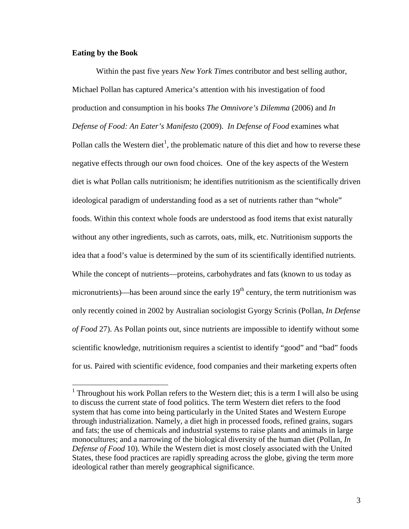#### **Eating by the Book**

Within the past five years *New York Times* contributor and best selling author, Michael Pollan has captured America's attention with his investigation of food production and consumption in his books *The Omnivore's Dilemma* (2006) and *In Defense of Food: An Eater's Manifesto* (2009). *In Defense of Food* examines what Pollan calls the Western diet<sup>[1](#page-5-0)</sup>, the problematic nature of this diet and how to reverse these negative effects through our own food choices. One of the key aspects of the Western diet is what Pollan calls nutritionism; he identifies nutritionism as the scientifically driven ideological paradigm of understanding food as a set of nutrients rather than "whole" foods. Within this context whole foods are understood as food items that exist naturally without any other ingredients, such as carrots, oats, milk, etc. Nutritionism supports the idea that a food's value is determined by the sum of its scientifically identified nutrients. While the concept of nutrients—proteins, carbohydrates and fats (known to us today as micronutrients)—has been around since the early  $19<sup>th</sup>$  century, the term nutritionism was only recently coined in 2002 by Australian sociologist Gyorgy Scrinis (Pollan, *In Defense of Food* 27). As Pollan points out, since nutrients are impossible to identify without some scientific knowledge, nutritionism requires a scientist to identify "good" and "bad" foods for us. Paired with scientific evidence, food companies and their marketing experts often

<span id="page-5-0"></span> $1$  Throughout his work Pollan refers to the Western diet; this is a term I will also be using to discuss the current state of food politics. The term Western diet refers to the food system that has come into being particularly in the United States and Western Europe through industrialization. Namely, a diet high in processed foods, refined grains, sugars and fats; the use of chemicals and industrial systems to raise plants and animals in large monocultures; and a narrowing of the biological diversity of the human diet (Pollan, *In Defense of Food* 10). While the Western diet is most closely associated with the United States, these food practices are rapidly spreading across the globe, giving the term more ideological rather than merely geographical significance.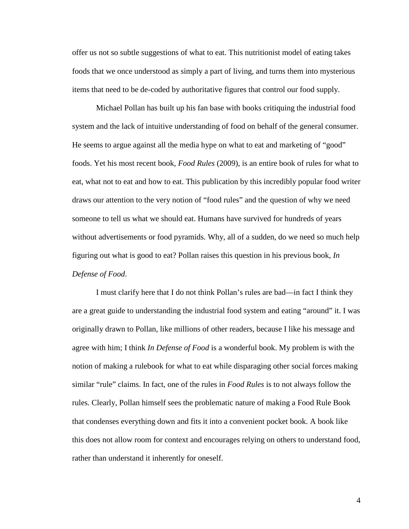offer us not so subtle suggestions of what to eat. This nutritionist model of eating takes foods that we once understood as simply a part of living, and turns them into mysterious items that need to be de-coded by authoritative figures that control our food supply.

Michael Pollan has built up his fan base with books critiquing the industrial food system and the lack of intuitive understanding of food on behalf of the general consumer. He seems to argue against all the media hype on what to eat and marketing of "good" foods. Yet his most recent book, *Food Rules* (2009), is an entire book of rules for what to eat, what not to eat and how to eat. This publication by this incredibly popular food writer draws our attention to the very notion of "food rules" and the question of why we need someone to tell us what we should eat. Humans have survived for hundreds of years without advertisements or food pyramids. Why, all of a sudden, do we need so much help figuring out what is good to eat? Pollan raises this question in his previous book, *In Defense of Food*.

I must clarify here that I do not think Pollan's rules are bad—in fact I think they are a great guide to understanding the industrial food system and eating "around" it. I was originally drawn to Pollan, like millions of other readers, because I like his message and agree with him; I think *In Defense of Food* is a wonderful book. My problem is with the notion of making a rulebook for what to eat while disparaging other social forces making similar "rule" claims. In fact, one of the rules in *Food Rules* is to not always follow the rules. Clearly, Pollan himself sees the problematic nature of making a Food Rule Book that condenses everything down and fits it into a convenient pocket book. A book like this does not allow room for context and encourages relying on others to understand food, rather than understand it inherently for oneself.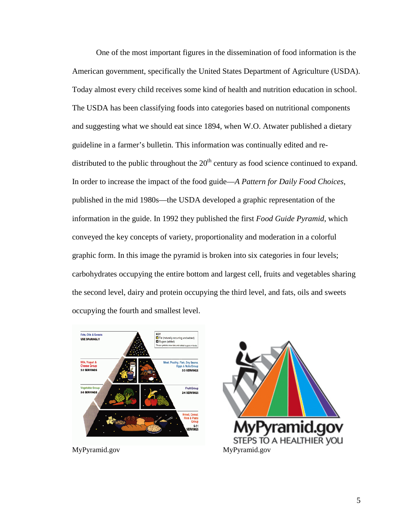One of the most important figures in the dissemination of food information is the American government, specifically the United States Department of Agriculture (USDA). Today almost every child receives some kind of health and nutrition education in school. The USDA has been classifying foods into categories based on nutritional components and suggesting what we should eat since 1894, when W.O. Atwater published a dietary guideline in a farmer's bulletin. This information was continually edited and redistributed to the public throughout the  $20<sup>th</sup>$  century as food science continued to expand. In order to increase the impact of the food guide—*A Pattern for Daily Food Choices*, published in the mid 1980s—the USDA developed a graphic representation of the information in the guide. In 1992 they published the first *Food Guide Pyramid*, which conveyed the key concepts of variety, proportionality and moderation in a colorful graphic form. In this image the pyramid is broken into six categories in four levels; carbohydrates occupying the entire bottom and largest cell, fruits and vegetables sharing the second level, dairy and protein occupying the third level, and fats, oils and sweets occupying the fourth and smallest level.



STEPS TO A HEALTHIER YOU<br>MyPyramid.gov MyPyramid.gov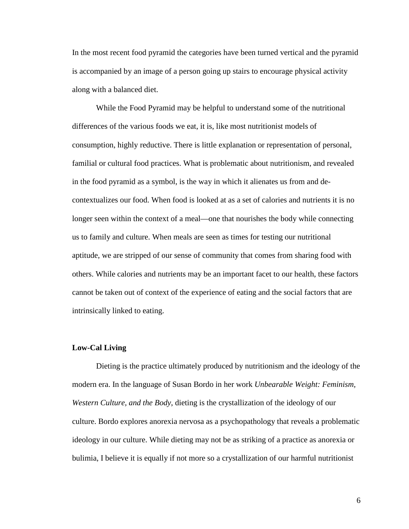In the most recent food pyramid the categories have been turned vertical and the pyramid is accompanied by an image of a person going up stairs to encourage physical activity along with a balanced diet.

While the Food Pyramid may be helpful to understand some of the nutritional differences of the various foods we eat, it is, like most nutritionist models of consumption, highly reductive. There is little explanation or representation of personal, familial or cultural food practices. What is problematic about nutritionism, and revealed in the food pyramid as a symbol, is the way in which it alienates us from and decontextualizes our food. When food is looked at as a set of calories and nutrients it is no longer seen within the context of a meal—one that nourishes the body while connecting us to family and culture. When meals are seen as times for testing our nutritional aptitude, we are stripped of our sense of community that comes from sharing food with others. While calories and nutrients may be an important facet to our health, these factors cannot be taken out of context of the experience of eating and the social factors that are intrinsically linked to eating.

#### **Low-Cal Living**

Dieting is the practice ultimately produced by nutritionism and the ideology of the modern era. In the language of Susan Bordo in her work *Unbearable Weight: Feminism, Western Culture, and the Body*, dieting is the crystallization of the ideology of our culture. Bordo explores anorexia nervosa as a psychopathology that reveals a problematic ideology in our culture. While dieting may not be as striking of a practice as anorexia or bulimia, I believe it is equally if not more so a crystallization of our harmful nutritionist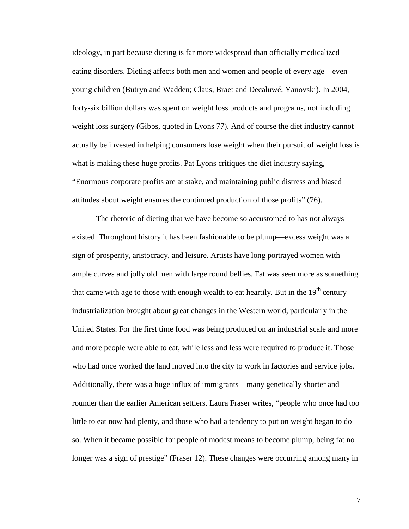ideology, in part because dieting is far more widespread than officially medicalized eating disorders. Dieting affects both men and women and people of every age—even young children (Butryn and Wadden; Claus, Braet and Decaluwé; Yanovski). In 2004, forty-six billion dollars was spent on weight loss products and programs, not including weight loss surgery (Gibbs, quoted in Lyons 77). And of course the diet industry cannot actually be invested in helping consumers lose weight when their pursuit of weight loss is what is making these huge profits. Pat Lyons critiques the diet industry saying, "Enormous corporate profits are at stake, and maintaining public distress and biased attitudes about weight ensures the continued production of those profits" (76).

The rhetoric of dieting that we have become so accustomed to has not always existed. Throughout history it has been fashionable to be plump—excess weight was a sign of prosperity, aristocracy, and leisure. Artists have long portrayed women with ample curves and jolly old men with large round bellies. Fat was seen more as something that came with age to those with enough wealth to eat heartily. But in the  $19<sup>th</sup>$  century industrialization brought about great changes in the Western world, particularly in the United States. For the first time food was being produced on an industrial scale and more and more people were able to eat, while less and less were required to produce it. Those who had once worked the land moved into the city to work in factories and service jobs. Additionally, there was a huge influx of immigrants—many genetically shorter and rounder than the earlier American settlers. Laura Fraser writes, "people who once had too little to eat now had plenty, and those who had a tendency to put on weight began to do so. When it became possible for people of modest means to become plump, being fat no longer was a sign of prestige" (Fraser 12). These changes were occurring among many in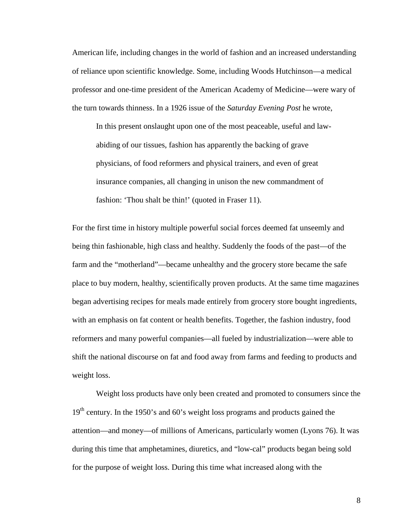American life, including changes in the world of fashion and an increased understanding of reliance upon scientific knowledge. Some, including Woods Hutchinson—a medical professor and one-time president of the American Academy of Medicine—were wary of the turn towards thinness. In a 1926 issue of the *Saturday Evening Post* he wrote,

In this present onslaught upon one of the most peaceable, useful and lawabiding of our tissues, fashion has apparently the backing of grave physicians, of food reformers and physical trainers, and even of great insurance companies, all changing in unison the new commandment of fashion: 'Thou shalt be thin!' (quoted in Fraser 11).

For the first time in history multiple powerful social forces deemed fat unseemly and being thin fashionable, high class and healthy. Suddenly the foods of the past—of the farm and the "motherland"—became unhealthy and the grocery store became the safe place to buy modern, healthy, scientifically proven products. At the same time magazines began advertising recipes for meals made entirely from grocery store bought ingredients, with an emphasis on fat content or health benefits. Together, the fashion industry, food reformers and many powerful companies—all fueled by industrialization—were able to shift the national discourse on fat and food away from farms and feeding to products and weight loss.

Weight loss products have only been created and promoted to consumers since the 19<sup>th</sup> century. In the 1950's and 60's weight loss programs and products gained the attention—and money—of millions of Americans, particularly women (Lyons 76). It was during this time that amphetamines, diuretics, and "low-cal" products began being sold for the purpose of weight loss. During this time what increased along with the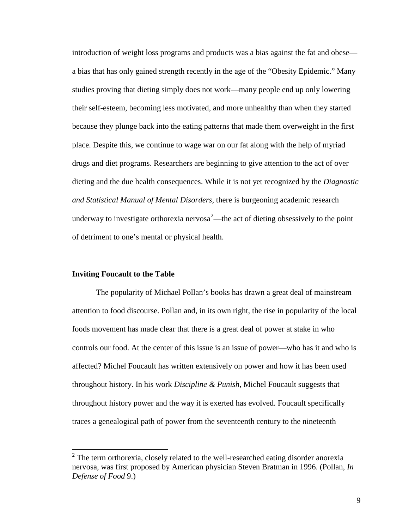introduction of weight loss programs and products was a bias against the fat and obese a bias that has only gained strength recently in the age of the "Obesity Epidemic." Many studies proving that dieting simply does not work—many people end up only lowering their self-esteem, becoming less motivated, and more unhealthy than when they started because they plunge back into the eating patterns that made them overweight in the first place. Despite this, we continue to wage war on our fat along with the help of myriad drugs and diet programs. Researchers are beginning to give attention to the act of over dieting and the due health consequences. While it is not yet recognized by the *Diagnostic and Statistical Manual of Mental Disorders,* there is burgeoning academic research underway to investigate orthorexia nervosa $^2$  $^2$ —the act of dieting obsessively to the point of detriment to one's mental or physical health.

#### **Inviting Foucault to the Table**

The popularity of Michael Pollan's books has drawn a great deal of mainstream attention to food discourse. Pollan and, in its own right, the rise in popularity of the local foods movement has made clear that there is a great deal of power at stake in who controls our food. At the center of this issue is an issue of power—who has it and who is affected? Michel Foucault has written extensively on power and how it has been used throughout history. In his work *Discipline & Punish,* Michel Foucault suggests that throughout history power and the way it is exerted has evolved. Foucault specifically traces a genealogical path of power from the seventeenth century to the nineteenth

<span id="page-11-0"></span> $2$  The term orthorexia, closely related to the well-researched eating disorder anorexia nervosa, was first proposed by American physician Steven Bratman in 1996. (Pollan, *In Defense of Food* 9.)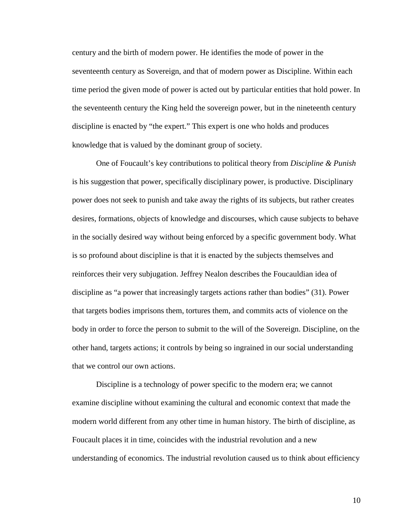century and the birth of modern power. He identifies the mode of power in the seventeenth century as Sovereign, and that of modern power as Discipline. Within each time period the given mode of power is acted out by particular entities that hold power. In the seventeenth century the King held the sovereign power, but in the nineteenth century discipline is enacted by "the expert." This expert is one who holds and produces knowledge that is valued by the dominant group of society.

One of Foucault's key contributions to political theory from *Discipline & Punish* is his suggestion that power, specifically disciplinary power, is productive. Disciplinary power does not seek to punish and take away the rights of its subjects, but rather creates desires, formations, objects of knowledge and discourses, which cause subjects to behave in the socially desired way without being enforced by a specific government body. What is so profound about discipline is that it is enacted by the subjects themselves and reinforces their very subjugation. Jeffrey Nealon describes the Foucauldian idea of discipline as "a power that increasingly targets actions rather than bodies" (31). Power that targets bodies imprisons them, tortures them, and commits acts of violence on the body in order to force the person to submit to the will of the Sovereign. Discipline, on the other hand, targets actions; it controls by being so ingrained in our social understanding that we control our own actions.

Discipline is a technology of power specific to the modern era; we cannot examine discipline without examining the cultural and economic context that made the modern world different from any other time in human history. The birth of discipline, as Foucault places it in time, coincides with the industrial revolution and a new understanding of economics. The industrial revolution caused us to think about efficiency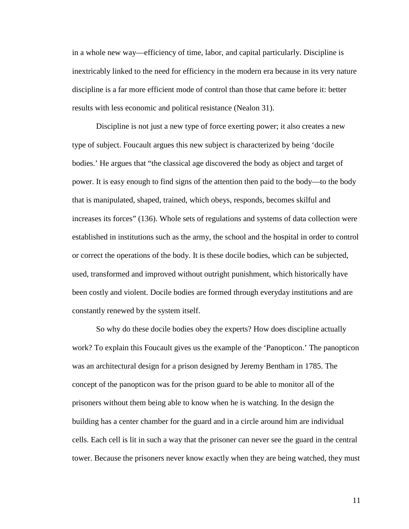in a whole new way—efficiency of time, labor, and capital particularly. Discipline is inextricably linked to the need for efficiency in the modern era because in its very nature discipline is a far more efficient mode of control than those that came before it: better results with less economic and political resistance (Nealon 31).

Discipline is not just a new type of force exerting power; it also creates a new type of subject. Foucault argues this new subject is characterized by being 'docile bodies.' He argues that "the classical age discovered the body as object and target of power. It is easy enough to find signs of the attention then paid to the body—to the body that is manipulated, shaped, trained, which obeys, responds, becomes skilful and increases its forces" (136). Whole sets of regulations and systems of data collection were established in institutions such as the army, the school and the hospital in order to control or correct the operations of the body. It is these docile bodies, which can be subjected, used, transformed and improved without outright punishment, which historically have been costly and violent. Docile bodies are formed through everyday institutions and are constantly renewed by the system itself.

So why do these docile bodies obey the experts? How does discipline actually work? To explain this Foucault gives us the example of the 'Panopticon.' The panopticon was an architectural design for a prison designed by Jeremy Bentham in 1785. The concept of the panopticon was for the prison guard to be able to monitor all of the prisoners without them being able to know when he is watching. In the design the building has a center chamber for the guard and in a circle around him are individual cells. Each cell is lit in such a way that the prisoner can never see the guard in the central tower. Because the prisoners never know exactly when they are being watched, they must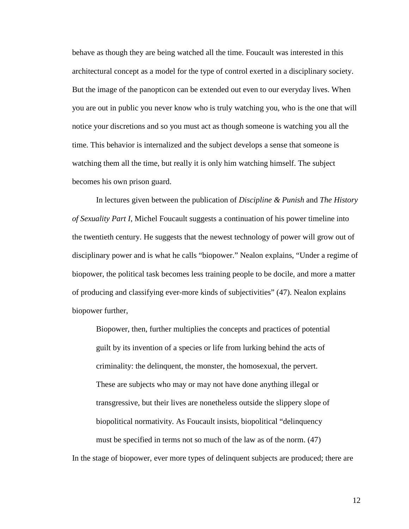behave as though they are being watched all the time. Foucault was interested in this architectural concept as a model for the type of control exerted in a disciplinary society. But the image of the panopticon can be extended out even to our everyday lives. When you are out in public you never know who is truly watching you, who is the one that will notice your discretions and so you must act as though someone is watching you all the time. This behavior is internalized and the subject develops a sense that someone is watching them all the time, but really it is only him watching himself. The subject becomes his own prison guard.

In lectures given between the publication of *Discipline & Punish* and *The History of Sexuality Part I*, Michel Foucault suggests a continuation of his power timeline into the twentieth century. He suggests that the newest technology of power will grow out of disciplinary power and is what he calls "biopower." Nealon explains, "Under a regime of biopower, the political task becomes less training people to be docile, and more a matter of producing and classifying ever-more kinds of subjectivities" (47). Nealon explains biopower further,

Biopower, then, further multiplies the concepts and practices of potential guilt by its invention of a species or life from lurking behind the acts of criminality: the delinquent, the monster, the homosexual, the pervert. These are subjects who may or may not have done anything illegal or transgressive, but their lives are nonetheless outside the slippery slope of biopolitical normativity. As Foucault insists, biopolitical "delinquency must be specified in terms not so much of the law as of the norm. (47)

In the stage of biopower, ever more types of delinquent subjects are produced; there are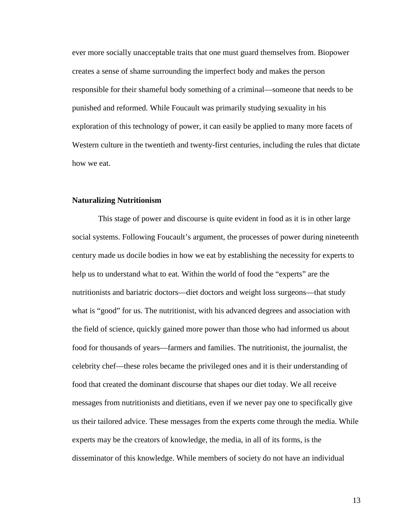ever more socially unacceptable traits that one must guard themselves from. Biopower creates a sense of shame surrounding the imperfect body and makes the person responsible for their shameful body something of a criminal—someone that needs to be punished and reformed. While Foucault was primarily studying sexuality in his exploration of this technology of power, it can easily be applied to many more facets of Western culture in the twentieth and twenty-first centuries, including the rules that dictate how we eat.

#### **Naturalizing Nutritionism**

This stage of power and discourse is quite evident in food as it is in other large social systems. Following Foucault's argument, the processes of power during nineteenth century made us docile bodies in how we eat by establishing the necessity for experts to help us to understand what to eat. Within the world of food the "experts" are the nutritionists and bariatric doctors—diet doctors and weight loss surgeons—that study what is "good" for us. The nutritionist, with his advanced degrees and association with the field of science, quickly gained more power than those who had informed us about food for thousands of years—farmers and families. The nutritionist, the journalist, the celebrity chef—these roles became the privileged ones and it is their understanding of food that created the dominant discourse that shapes our diet today. We all receive messages from nutritionists and dietitians, even if we never pay one to specifically give us their tailored advice. These messages from the experts come through the media. While experts may be the creators of knowledge, the media, in all of its forms, is the disseminator of this knowledge. While members of society do not have an individual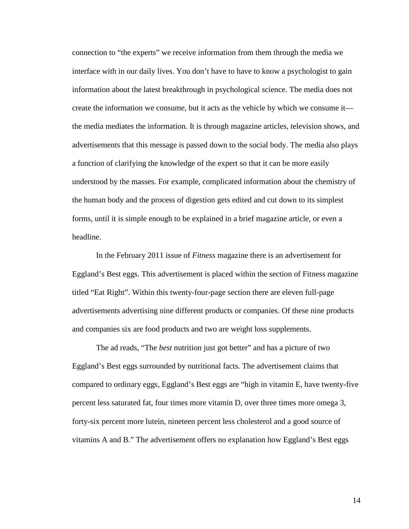connection to "the experts" we receive information from them through the media we interface with in our daily lives. You don't have to have to know a psychologist to gain information about the latest breakthrough in psychological science. The media does not create the information we consume, but it acts as the vehicle by which we consume it the media mediates the information. It is through magazine articles, television shows, and advertisements that this message is passed down to the social body. The media also plays a function of clarifying the knowledge of the expert so that it can be more easily understood by the masses. For example, complicated information about the chemistry of the human body and the process of digestion gets edited and cut down to its simplest forms, until it is simple enough to be explained in a brief magazine article, or even a headline.

In the February 2011 issue of *Fitness* magazine there is an advertisement for Eggland's Best eggs. This advertisement is placed within the section of Fitness magazine titled "Eat Right". Within this twenty-four-page section there are eleven full-page advertisements advertising nine different products or companies. Of these nine products and companies six are food products and two are weight loss supplements.

The ad reads, "The *best* nutrition just got better" and has a picture of two Eggland's Best eggs surrounded by nutritional facts. The advertisement claims that compared to ordinary eggs, Eggland's Best eggs are "high in vitamin E, have twenty-five percent less saturated fat, four times more vitamin D, over three times more omega 3, forty-six percent more lutein, nineteen percent less cholesterol and a good source of vitamins A and B." The advertisement offers no explanation how Eggland's Best eggs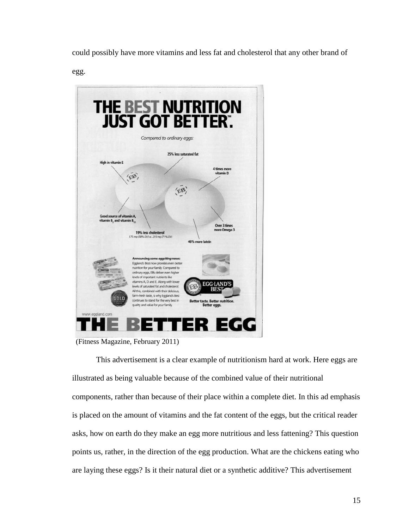could possibly have more vitamins and less fat and cholesterol that any other brand of

egg.



(Fitness Magazine, February 2011)

This advertisement is a clear example of nutritionism hard at work. Here eggs are illustrated as being valuable because of the combined value of their nutritional components, rather than because of their place within a complete diet. In this ad emphasis is placed on the amount of vitamins and the fat content of the eggs, but the critical reader asks, how on earth do they make an egg more nutritious and less fattening? This question points us, rather, in the direction of the egg production. What are the chickens eating who are laying these eggs? Is it their natural diet or a synthetic additive? This advertisement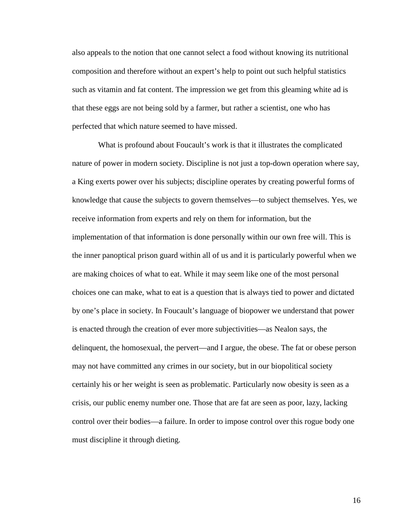also appeals to the notion that one cannot select a food without knowing its nutritional composition and therefore without an expert's help to point out such helpful statistics such as vitamin and fat content. The impression we get from this gleaming white ad is that these eggs are not being sold by a farmer, but rather a scientist, one who has perfected that which nature seemed to have missed.

What is profound about Foucault's work is that it illustrates the complicated nature of power in modern society. Discipline is not just a top-down operation where say, a King exerts power over his subjects; discipline operates by creating powerful forms of knowledge that cause the subjects to govern themselves—to subject themselves. Yes, we receive information from experts and rely on them for information, but the implementation of that information is done personally within our own free will. This is the inner panoptical prison guard within all of us and it is particularly powerful when we are making choices of what to eat. While it may seem like one of the most personal choices one can make, what to eat is a question that is always tied to power and dictated by one's place in society. In Foucault's language of biopower we understand that power is enacted through the creation of ever more subjectivities—as Nealon says, the delinquent, the homosexual, the pervert—and I argue, the obese. The fat or obese person may not have committed any crimes in our society, but in our biopolitical society certainly his or her weight is seen as problematic. Particularly now obesity is seen as a crisis, our public enemy number one. Those that are fat are seen as poor, lazy, lacking control over their bodies—a failure. In order to impose control over this rogue body one must discipline it through dieting.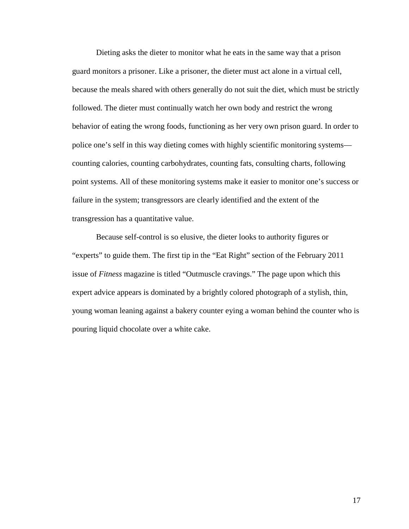Dieting asks the dieter to monitor what he eats in the same way that a prison guard monitors a prisoner. Like a prisoner, the dieter must act alone in a virtual cell, because the meals shared with others generally do not suit the diet, which must be strictly followed. The dieter must continually watch her own body and restrict the wrong behavior of eating the wrong foods, functioning as her very own prison guard. In order to police one's self in this way dieting comes with highly scientific monitoring systems counting calories, counting carbohydrates, counting fats, consulting charts, following point systems. All of these monitoring systems make it easier to monitor one's success or failure in the system; transgressors are clearly identified and the extent of the transgression has a quantitative value.

Because self-control is so elusive, the dieter looks to authority figures or "experts" to guide them. The first tip in the "Eat Right" section of the February 2011 issue of *Fitness* magazine is titled "Outmuscle cravings." The page upon which this expert advice appears is dominated by a brightly colored photograph of a stylish, thin, young woman leaning against a bakery counter eying a woman behind the counter who is pouring liquid chocolate over a white cake.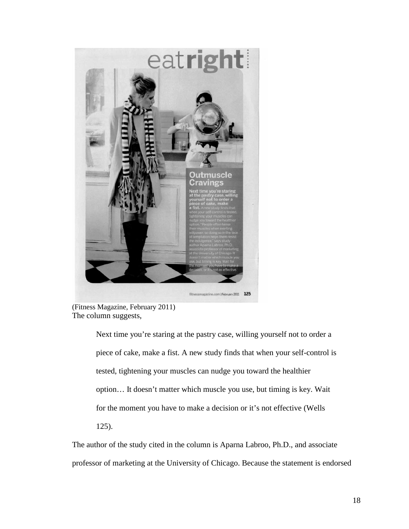

(Fitness Magazine, February 2011) The column suggests,

Next time you're staring at the pastry case, willing yourself not to order a piece of cake, make a fist. A new study finds that when your self-control is tested, tightening your muscles can nudge you toward the healthier option… It doesn't matter which muscle you use, but timing is key. Wait for the moment you have to make a decision or it's not effective (Wells 125).

The author of the study cited in the column is Aparna Labroo, Ph.D., and associate professor of marketing at the University of Chicago. Because the statement is endorsed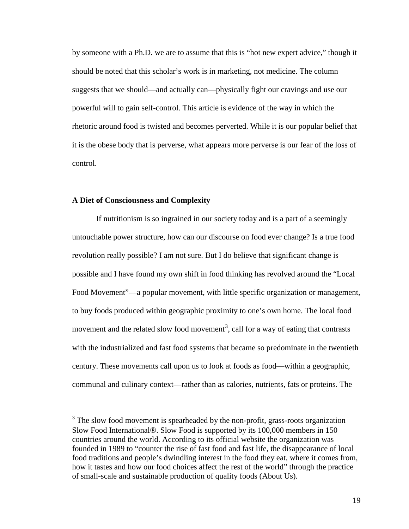by someone with a Ph.D. we are to assume that this is "hot new expert advice," though it should be noted that this scholar's work is in marketing, not medicine. The column suggests that we should—and actually can—physically fight our cravings and use our powerful will to gain self-control. This article is evidence of the way in which the rhetoric around food is twisted and becomes perverted. While it is our popular belief that it is the obese body that is perverse, what appears more perverse is our fear of the loss of control.

#### **A Diet of Consciousness and Complexity**

If nutritionism is so ingrained in our society today and is a part of a seemingly untouchable power structure, how can our discourse on food ever change? Is a true food revolution really possible? I am not sure. But I do believe that significant change is possible and I have found my own shift in food thinking has revolved around the "Local Food Movement"—a popular movement, with little specific organization or management, to buy foods produced within geographic proximity to one's own home. The local food movement and the related slow food movement<sup>[3](#page-21-0)</sup>, call for a way of eating that contrasts with the industrialized and fast food systems that became so predominate in the twentieth century. These movements call upon us to look at foods as food—within a geographic, communal and culinary context—rather than as calories, nutrients, fats or proteins. The

<span id="page-21-0"></span><sup>&</sup>lt;sup>3</sup> The slow food movement is spearheaded by the non-profit, grass-roots organization Slow Food International $\mathcal{R}$ . Slow Food is supported by its 100,000 members in 150 countries around the world. According to its official website the organization was founded in 1989 to "counter the rise of fast food and fast life, the disappearance of local food traditions and people's dwindling interest in the food they eat, where it comes from, how it tastes and how our food choices affect the rest of the world" through the practice of small-scale and sustainable production of quality foods (About Us).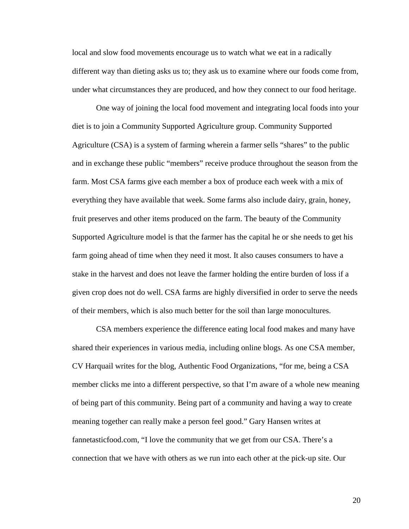local and slow food movements encourage us to watch what we eat in a radically different way than dieting asks us to; they ask us to examine where our foods come from, under what circumstances they are produced, and how they connect to our food heritage.

One way of joining the local food movement and integrating local foods into your diet is to join a Community Supported Agriculture group. Community Supported Agriculture (CSA) is a system of farming wherein a farmer sells "shares" to the public and in exchange these public "members" receive produce throughout the season from the farm. Most CSA farms give each member a box of produce each week with a mix of everything they have available that week. Some farms also include dairy, grain, honey, fruit preserves and other items produced on the farm. The beauty of the Community Supported Agriculture model is that the farmer has the capital he or she needs to get his farm going ahead of time when they need it most. It also causes consumers to have a stake in the harvest and does not leave the farmer holding the entire burden of loss if a given crop does not do well. CSA farms are highly diversified in order to serve the needs of their members, which is also much better for the soil than large monocultures.

CSA members experience the difference eating local food makes and many have shared their experiences in various media, including online blogs. As one CSA member, CV Harquail writes for the blog, Authentic Food Organizations, "for me, being a CSA member clicks me into a different perspective, so that I'm aware of a whole new meaning of being part of this community. Being part of a community and having a way to create meaning together can really make a person feel good." Gary Hansen writes at fannetasticfood.com, "I love the community that we get from our CSA. There's a connection that we have with others as we run into each other at the pick-up site. Our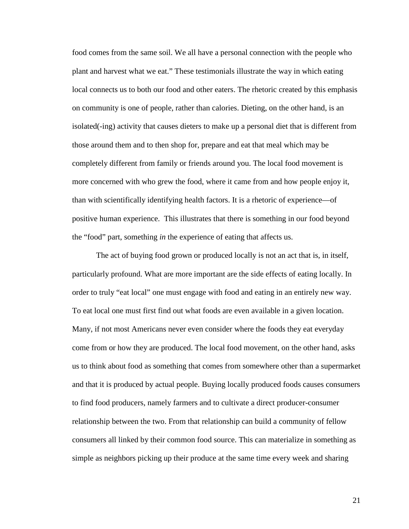food comes from the same soil. We all have a personal connection with the people who plant and harvest what we eat." These testimonials illustrate the way in which eating local connects us to both our food and other eaters. The rhetoric created by this emphasis on community is one of people, rather than calories. Dieting, on the other hand, is an isolated(-ing) activity that causes dieters to make up a personal diet that is different from those around them and to then shop for, prepare and eat that meal which may be completely different from family or friends around you. The local food movement is more concerned with who grew the food, where it came from and how people enjoy it, than with scientifically identifying health factors. It is a rhetoric of experience—of positive human experience. This illustrates that there is something in our food beyond the "food" part, something *in* the experience of eating that affects us.

The act of buying food grown or produced locally is not an act that is, in itself, particularly profound. What are more important are the side effects of eating locally. In order to truly "eat local" one must engage with food and eating in an entirely new way. To eat local one must first find out what foods are even available in a given location. Many, if not most Americans never even consider where the foods they eat everyday come from or how they are produced. The local food movement, on the other hand, asks us to think about food as something that comes from somewhere other than a supermarket and that it is produced by actual people. Buying locally produced foods causes consumers to find food producers, namely farmers and to cultivate a direct producer-consumer relationship between the two. From that relationship can build a community of fellow consumers all linked by their common food source. This can materialize in something as simple as neighbors picking up their produce at the same time every week and sharing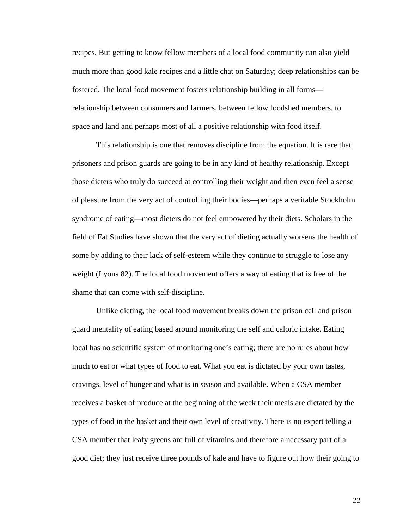recipes. But getting to know fellow members of a local food community can also yield much more than good kale recipes and a little chat on Saturday; deep relationships can be fostered. The local food movement fosters relationship building in all forms relationship between consumers and farmers, between fellow foodshed members, to space and land and perhaps most of all a positive relationship with food itself.

This relationship is one that removes discipline from the equation. It is rare that prisoners and prison guards are going to be in any kind of healthy relationship. Except those dieters who truly do succeed at controlling their weight and then even feel a sense of pleasure from the very act of controlling their bodies—perhaps a veritable Stockholm syndrome of eating—most dieters do not feel empowered by their diets. Scholars in the field of Fat Studies have shown that the very act of dieting actually worsens the health of some by adding to their lack of self-esteem while they continue to struggle to lose any weight (Lyons 82). The local food movement offers a way of eating that is free of the shame that can come with self-discipline.

Unlike dieting, the local food movement breaks down the prison cell and prison guard mentality of eating based around monitoring the self and caloric intake. Eating local has no scientific system of monitoring one's eating; there are no rules about how much to eat or what types of food to eat. What you eat is dictated by your own tastes, cravings, level of hunger and what is in season and available. When a CSA member receives a basket of produce at the beginning of the week their meals are dictated by the types of food in the basket and their own level of creativity. There is no expert telling a CSA member that leafy greens are full of vitamins and therefore a necessary part of a good diet; they just receive three pounds of kale and have to figure out how their going to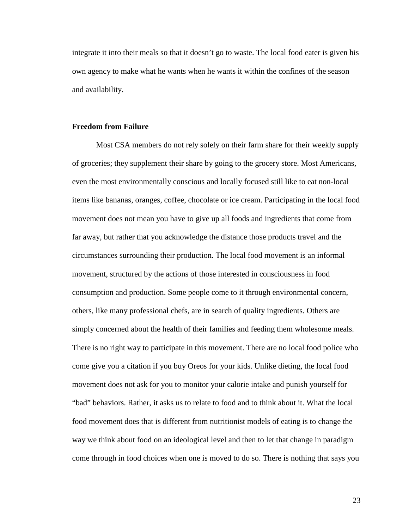integrate it into their meals so that it doesn't go to waste. The local food eater is given his own agency to make what he wants when he wants it within the confines of the season and availability.

#### **Freedom from Failure**

Most CSA members do not rely solely on their farm share for their weekly supply of groceries; they supplement their share by going to the grocery store. Most Americans, even the most environmentally conscious and locally focused still like to eat non-local items like bananas, oranges, coffee, chocolate or ice cream. Participating in the local food movement does not mean you have to give up all foods and ingredients that come from far away, but rather that you acknowledge the distance those products travel and the circumstances surrounding their production. The local food movement is an informal movement, structured by the actions of those interested in consciousness in food consumption and production. Some people come to it through environmental concern, others, like many professional chefs, are in search of quality ingredients. Others are simply concerned about the health of their families and feeding them wholesome meals. There is no right way to participate in this movement. There are no local food police who come give you a citation if you buy Oreos for your kids. Unlike dieting, the local food movement does not ask for you to monitor your calorie intake and punish yourself for "bad" behaviors. Rather, it asks us to relate to food and to think about it. What the local food movement does that is different from nutritionist models of eating is to change the way we think about food on an ideological level and then to let that change in paradigm come through in food choices when one is moved to do so. There is nothing that says you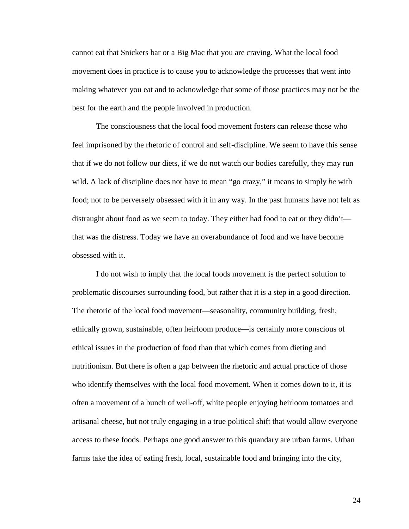cannot eat that Snickers bar or a Big Mac that you are craving. What the local food movement does in practice is to cause you to acknowledge the processes that went into making whatever you eat and to acknowledge that some of those practices may not be the best for the earth and the people involved in production.

The consciousness that the local food movement fosters can release those who feel imprisoned by the rhetoric of control and self-discipline. We seem to have this sense that if we do not follow our diets, if we do not watch our bodies carefully, they may run wild. A lack of discipline does not have to mean "go crazy," it means to simply *be* with food; not to be perversely obsessed with it in any way. In the past humans have not felt as distraught about food as we seem to today. They either had food to eat or they didn't that was the distress. Today we have an overabundance of food and we have become obsessed with it.

I do not wish to imply that the local foods movement is the perfect solution to problematic discourses surrounding food, but rather that it is a step in a good direction. The rhetoric of the local food movement—seasonality, community building, fresh, ethically grown, sustainable, often heirloom produce—is certainly more conscious of ethical issues in the production of food than that which comes from dieting and nutritionism. But there is often a gap between the rhetoric and actual practice of those who identify themselves with the local food movement. When it comes down to it, it is often a movement of a bunch of well-off, white people enjoying heirloom tomatoes and artisanal cheese, but not truly engaging in a true political shift that would allow everyone access to these foods. Perhaps one good answer to this quandary are urban farms. Urban farms take the idea of eating fresh, local, sustainable food and bringing into the city,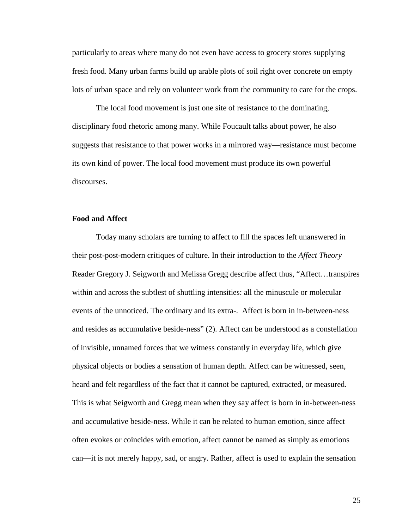particularly to areas where many do not even have access to grocery stores supplying fresh food. Many urban farms build up arable plots of soil right over concrete on empty lots of urban space and rely on volunteer work from the community to care for the crops.

The local food movement is just one site of resistance to the dominating, disciplinary food rhetoric among many. While Foucault talks about power, he also suggests that resistance to that power works in a mirrored way—resistance must become its own kind of power. The local food movement must produce its own powerful discourses.

#### **Food and Affect**

Today many scholars are turning to affect to fill the spaces left unanswered in their post-post-modern critiques of culture. In their introduction to the *Affect Theory* Reader Gregory J. Seigworth and Melissa Gregg describe affect thus, "Affect…transpires within and across the subtlest of shuttling intensities: all the minuscule or molecular events of the unnoticed. The ordinary and its extra-. Affect is born in in-between-ness and resides as accumulative beside-ness" (2). Affect can be understood as a constellation of invisible, unnamed forces that we witness constantly in everyday life, which give physical objects or bodies a sensation of human depth. Affect can be witnessed, seen, heard and felt regardless of the fact that it cannot be captured, extracted, or measured. This is what Seigworth and Gregg mean when they say affect is born in in-between-ness and accumulative beside-ness. While it can be related to human emotion, since affect often evokes or coincides with emotion, affect cannot be named as simply as emotions can—it is not merely happy, sad, or angry. Rather, affect is used to explain the sensation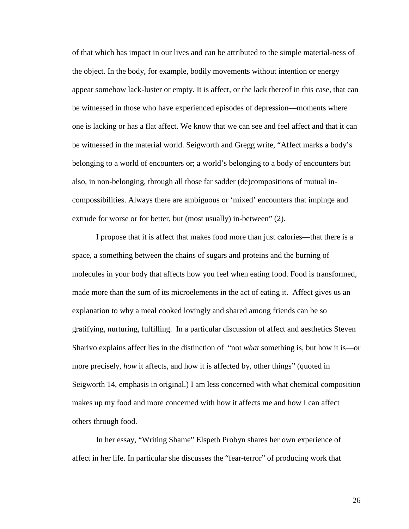of that which has impact in our lives and can be attributed to the simple material-ness of the object. In the body, for example, bodily movements without intention or energy appear somehow lack-luster or empty. It is affect, or the lack thereof in this case, that can be witnessed in those who have experienced episodes of depression—moments where one is lacking or has a flat affect. We know that we can see and feel affect and that it can be witnessed in the material world. Seigworth and Gregg write, "Affect marks a body's belonging to a world of encounters or; a world's belonging to a body of encounters but also, in non-belonging, through all those far sadder (de)compositions of mutual incompossibilities. Always there are ambiguous or 'mixed' encounters that impinge and extrude for worse or for better, but (most usually) in-between" (2).

I propose that it is affect that makes food more than just calories—that there is a space, a something between the chains of sugars and proteins and the burning of molecules in your body that affects how you feel when eating food. Food is transformed, made more than the sum of its microelements in the act of eating it. Affect gives us an explanation to why a meal cooked lovingly and shared among friends can be so gratifying, nurturing, fulfilling. In a particular discussion of affect and aesthetics Steven Sharivo explains affect lies in the distinction of "not *what* something is, but how it is—or more precisely, *how* it affects, and how it is affected by, other things" (quoted in Seigworth 14, emphasis in original.) I am less concerned with what chemical composition makes up my food and more concerned with how it affects me and how I can affect others through food.

In her essay, "Writing Shame" Elspeth Probyn shares her own experience of affect in her life. In particular she discusses the "fear-terror" of producing work that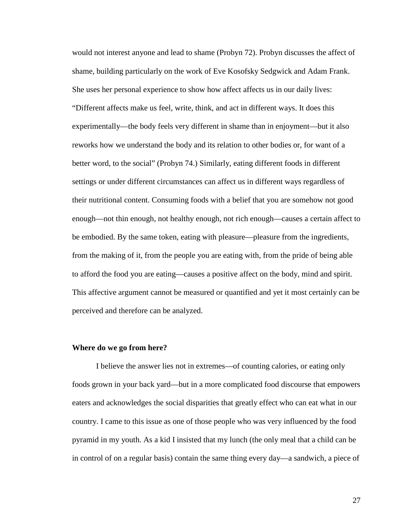would not interest anyone and lead to shame (Probyn 72). Probyn discusses the affect of shame, building particularly on the work of Eve Kosofsky Sedgwick and Adam Frank. She uses her personal experience to show how affect affects us in our daily lives: "Different affects make us feel, write, think, and act in different ways. It does this experimentally—the body feels very different in shame than in enjoyment—but it also reworks how we understand the body and its relation to other bodies or, for want of a better word, to the social" (Probyn 74.) Similarly, eating different foods in different settings or under different circumstances can affect us in different ways regardless of their nutritional content. Consuming foods with a belief that you are somehow not good enough—not thin enough, not healthy enough, not rich enough—causes a certain affect to be embodied. By the same token, eating with pleasure—pleasure from the ingredients, from the making of it, from the people you are eating with, from the pride of being able to afford the food you are eating—causes a positive affect on the body, mind and spirit. This affective argument cannot be measured or quantified and yet it most certainly can be perceived and therefore can be analyzed.

#### **Where do we go from here?**

I believe the answer lies not in extremes—of counting calories, or eating only foods grown in your back yard—but in a more complicated food discourse that empowers eaters and acknowledges the social disparities that greatly effect who can eat what in our country. I came to this issue as one of those people who was very influenced by the food pyramid in my youth. As a kid I insisted that my lunch (the only meal that a child can be in control of on a regular basis) contain the same thing every day—a sandwich, a piece of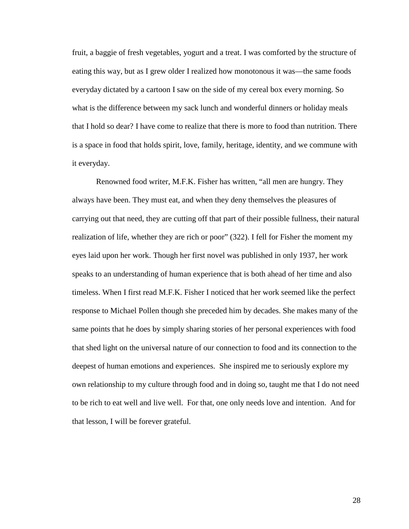fruit, a baggie of fresh vegetables, yogurt and a treat. I was comforted by the structure of eating this way, but as I grew older I realized how monotonous it was—the same foods everyday dictated by a cartoon I saw on the side of my cereal box every morning. So what is the difference between my sack lunch and wonderful dinners or holiday meals that I hold so dear? I have come to realize that there is more to food than nutrition. There is a space in food that holds spirit, love, family, heritage, identity, and we commune with it everyday.

Renowned food writer, M.F.K. Fisher has written, "all men are hungry. They always have been. They must eat, and when they deny themselves the pleasures of carrying out that need, they are cutting off that part of their possible fullness, their natural realization of life, whether they are rich or poor" (322). I fell for Fisher the moment my eyes laid upon her work. Though her first novel was published in only 1937, her work speaks to an understanding of human experience that is both ahead of her time and also timeless. When I first read M.F.K. Fisher I noticed that her work seemed like the perfect response to Michael Pollen though she preceded him by decades. She makes many of the same points that he does by simply sharing stories of her personal experiences with food that shed light on the universal nature of our connection to food and its connection to the deepest of human emotions and experiences. She inspired me to seriously explore my own relationship to my culture through food and in doing so, taught me that I do not need to be rich to eat well and live well. For that, one only needs love and intention. And for that lesson, I will be forever grateful.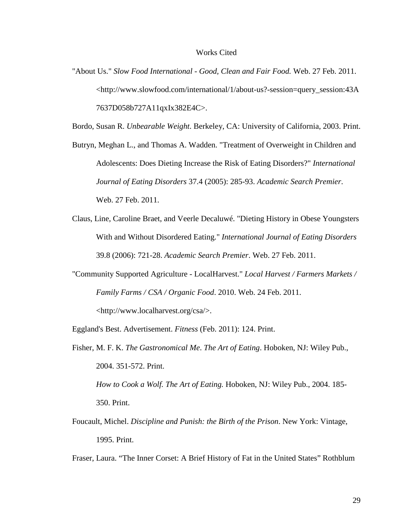"About Us." *Slow Food International - Good, Clean and Fair Food.* Web. 27 Feb. 2011. <http://www.slowfood.com/international/1/about-us?-session=query\_session:43A 7637D058b727A11qxIx382E4C>.

Bordo, Susan R. *Unbearable Weight*. Berkeley, CA: University of California, 2003. Print.

- Butryn, Meghan L., and Thomas A. Wadden. "Treatment of Overweight in Children and Adolescents: Does Dieting Increase the Risk of Eating Disorders?" *International Journal of Eating Disorders* 37.4 (2005): 285-93. *Academic Search Premier*. Web. 27 Feb. 2011.
- Claus, Line, Caroline Braet, and Veerle Decaluwé. "Dieting History in Obese Youngsters With and Without Disordered Eating." *International Journal of Eating Disorders* 39.8 (2006): 721-28. *Academic Search Premier*. Web. 27 Feb. 2011.
- "Community Supported Agriculture LocalHarvest." *Local Harvest / Farmers Markets / Family Farms / CSA / Organic Food*. 2010. Web. 24 Feb. 2011. <http://www.localharvest.org/csa/>.
- Eggland's Best. Advertisement. *Fitness* (Feb. 2011): 124. Print.
- Fisher, M. F. K. *The Gastronomical Me*. *The Art of Eating*. Hoboken, NJ: Wiley Pub., 2004. 351-572. Print.

*How to Cook a Wolf. The Art of Eating.* Hoboken, NJ: Wiley Pub., 2004. 185- 350. Print.

Foucault, Michel. *Discipline and Punish: the Birth of the Prison*. New York: Vintage, 1995. Print.

Fraser, Laura. "The Inner Corset: A Brief History of Fat in the United States" Rothblum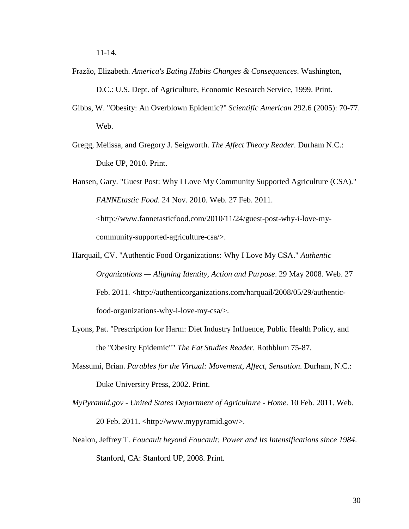- Frazão, Elizabeth. *America's Eating Habits Changes & Consequences*. Washington,
- Gibbs, W. "Obesity: An Overblown Epidemic?" *Scientific American* 292.6 (2005): 70-77. Web.

D.C.: U.S. Dept. of Agriculture, Economic Research Service, 1999. Print.

- Gregg, Melissa, and Gregory J. Seigworth. *The Affect Theory Reader*. Durham N.C.: Duke UP, 2010. Print.
- Hansen, Gary. "Guest Post: Why I Love My Community Supported Agriculture (CSA)." *FANNEtastic Food*. 24 Nov. 2010. Web. 27 Feb. 2011. <http://www.fannetasticfood.com/2010/11/24/guest-post-why-i-love-mycommunity-supported-agriculture-csa/>.
- Harquail, CV. "Authentic Food Organizations: Why I Love My CSA." *Authentic Organizations — Aligning Identity, Action and Purpose*. 29 May 2008. Web. 27 Feb. 2011. <http://authenticorganizations.com/harquail/2008/05/29/authenticfood-organizations-why-i-love-my-csa/>.
- Lyons, Pat. "Prescription for Harm: Diet Industry Influence, Public Health Policy, and the "Obesity Epidemic"" *The Fat Studies Reader*. Rothblum 75-87.
- Massumi, Brian. *Parables for the Virtual: Movement, Affect, Sensation*. Durham, N.C.: Duke University Press, 2002. Print.
- *MyPyramid.gov - United States Department of Agriculture - Home*. 10 Feb. 2011. Web. 20 Feb. 2011. <http://www.mypyramid.gov/>.
- Nealon, Jeffrey T. *Foucault beyond Foucault: Power and Its Intensifications since 1984*. Stanford, CA: Stanford UP, 2008. Print.